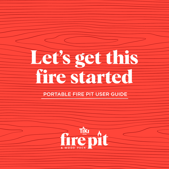# **Let's get this fire started**

# PORTABLE FIRE PIT USER GUIDE

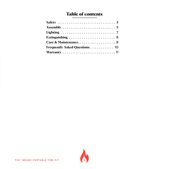## Table of contents

| Frequently Asked Questions. 10 |  |
|--------------------------------|--|
|                                |  |

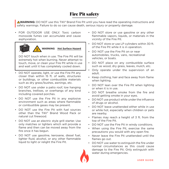# Fire Pit safety

**AWARNING:** DO NOT use this TIKI<sup>®</sup> Brand Fire Pit until you have read the operating instructions and safety warnings. Failure to do so can cause death, serious injury or property damage.

• FOR OUTDOOR USE ONLY. Toxic carbon monoxide fumes can accumulate and cause asphyxiation.



 **WARNING Hot Surface Hazard**

DO NOT touch when in use. The Fire Pit will be extremely hot when burning. Never attempt to touch, move, or clean your Fire Pit while in use and wait until it has completely cooled down.

- DO NOT operate, light, or use the Fire Pit any closer than within 15 ft. of walls, structures or buildings, or other combustible materials such as dry grass/bushes, awnings, etc.
- DO NOT use under a patio roof, low hanging branches, trellises, or overhangs of any kind including covered porches.
- DO NOT use the Fire Pit in any explosive environment such as areas where flammable or combustible gases may be present.
- DO NOT use the Fire Pit with fuel sources other than the TIKI® Brand Wood Pack or natural cut firewood.
- DO NOT use an electric style grill starter. Use only matches or lighters which will provide a flame and then can be moved away from the fire once it has begun.
- • DO NOT use gasoline, kerosene, diesel fuel, lighter fluid, alcohol, or any other flammable liquid to light or relight the Fire Pit.
- DO NOT store or use gasoline or any other flammable vapors, liquids, or materials in the vicinity of the Fire Pit.
- DO NOT store or use LP cylinders within 30 ft. of the Fire Pit while it is in operation.
- DO NOT use the Fire Pit on or near automobiles, trucks, vans, recreational vehicles, or boats.
- DO NOT place on any combustible surface such as wood, dry grass, leaves, mulch, etc.
- • Only operate under the supervision of an adult.
- • Keep clothing, hair and face away from flame when lighting.
- DO NOT lean over the Fire Pit when lighting or when it is in use.
- • DO NOT breathe smoke from the fire and avoid getting smoke in your eyes.
- • DO NOT use product while under the influence of drugs or alcohol.
- DO NOT leave unattended either while in use or while hot, especially when children or pets are nearby.
- • Flames may reach a height of 3 ft. from the top of the Fire Pit.
- DO NOT use the Fire Pit in windy conditions.
- When using the Fire Pit, exercise the same precautions you would with any open fire.
- • Never leave the Fire Pit unattended until the flames go out.
- • DO NOT use water to extinguish the fire under normal circumstances as this could cause damage to the Fire Pit. Only extinguish with water during emergencies.

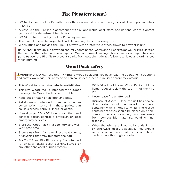## Fire Pit safety (cont.)

- DO NOT cover the Fire Pit with the cloth cover until it has completely cooled down approximately 12 hours.
- • Always use the Fire Pit in accordance with all applicable local, state, and national codes. Contact your local fire department for details.
- • DO NOT alter or modify the Fire Pit in any manner.
- The Fire Pit should be inspected and cleaned regularly after every use.
- • When lifting and moving the Fire Pit always wear protective clothes/gloves to prevent injury.

**IMPORTANT:** Natural cut firewood naturally contains sap, water, and air pockets as well as irregularities that lead to the potential to eject sparks. We recommend placing a fire screen (sold separately, see page 9) over the Fire Pit to prevent sparks from escaping. Always follow local laws and ordinances when burning.

## Wood Pack safety

 **WARNING:** DO NOT use this TIKI® Brand Wood Pack until you have read the operating instructions and safety warnings. Failure to do so can cause death, serious injury or property damage.

- This Wood Pack contains petroleum distillates.
- This size Wood Pack is intended for outdoor use only. The Wood Pack is combustible.
- • Keep out of reach of children and pets.
- • Pellets are not intended for animal or human consumption. Consuming these pellets can cause sickness, serious illness, or death.
- If swallowed DO NOT induce vomiting, and contact poison control, a physician or local emergency services.
- Store the Wood Pack in a cool, dry, and wellventilated area.
- Store away from flame or direct heat source, or anything that may puncture the bag.
- For TIKI® Brand Fire Pit use only. Not intended for grills, smokers, pellet burners, stoves, or any other enclosed burning system.
- • DO NOT add additional Wood Packs until the flame reduces below the top rim of the Fire Pit.
- Never leave fire unattended.
- Disposal of Ashes-Once the unit has cooled down, ashes should be placed in a metal container with a tight-fitting lid. The closed container of ashes should be placed on a noncombustible floor or on the ground, well away from combustible materials, pending final disposal.
- When the ashes are disposed by burial in soil or otherwise locally dispersed, they should be retained in the closed container until all cinders have thoroughly cooled.

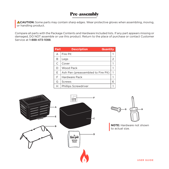## Pre-assembly

**ACAUTION:** Some parts may contain sharp edges. Wear protective gloves when assembling, moving, or handling product.

Compare all parts with the Package Contents and Hardware Included lists. If any part appears missing or damaged, DO NOT assemble or use this product. Return to the place of purchase or contact Customer Service at 1-888-473-1088.

| Part | <b>Description</b><br><b>Quantity</b> |   |
|------|---------------------------------------|---|
| А    | Fire Pit                              |   |
| В    | Legs                                  | 2 |
| C    | Cover                                 |   |
| D    | Wood Pack                             |   |
| Ε    | Ash Pan (preassembled to Fire Pit)    | 1 |
| F    | Hardware Pack                         |   |
| G    | <b>Screws</b>                         | ൳ |
| н    | <b>Phillips Screwdriver</b>           |   |





**NOTE:** Hardware not shown to actual size.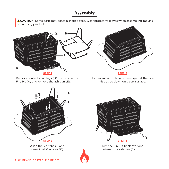## Assembly

**ACAUTION:** Some parts may contain sharp edges. Wear protective gloves when assembling, moving, or handling product.



Remove contents and legs (B) from inside the Fire Pit (A) and remove the ash pan (E).

To prevent scratching or damage, set the Fire Pit upside down on a soft surface.



Align the leg tabs (I) and screw in all 6 screws (G).



Turn the Fire Pit back over and re-insert the ash pan (E).

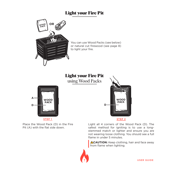## Light your Fire Pit



You can use Wood Packs (see below) or natural cut firewood (see page 8) to light your fire.

## Light your Fire Pit

using Wood Packs



**STEP 1**

Place the Wood Pack (D) in the Fire Pit (A) with the flat side down.



Light all 4 corners of the Wood Pack (D). The safest method for igniting is to use a longstemmed match or lighter and ensure you are not wearing loose clothing. You should see a full flame in under 5 minutes.

**ACAUTION:** Keep clothing, hair and face away from flame when lighting.

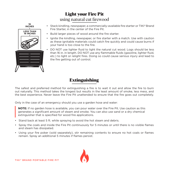## Light your Fire Pit using natural cut firewood



- Stack kindling, newspaper, a commercially-available fire starter or TIKI® Brand Fire Starter, in the center of the Fire Pit.
- • Build larger pieces of wood around the fire starter.
- • Ignite the kindling, newspaper, or fire starter with a match. Use with caution as these ignitable materials could catch fire quickly and could cause burns if your hand is too close to the fire.
- DO NOT use lighter fluid to light the natural cut wood. Logs should be less than 16 in. in length. DO NOT use any flammable fluids (gasoline, lighter fluid, etc.) to light or relight fires. Doing so could cause serious injury and lead to the fire getting out of control.

## Extinguishing

The safest and preferred method for extinguishing a fire is to wait it out and allow the fire to burn out naturally. This method takes the longest but results in the least amount of smoke, less mess, and the best experience. Never leave the Fire Pit unattended to ensure that the fire goes out completely.

Only in the case of an emergency should you use a garden hose and water:

**NOTE:** If no garden hose is available, you can pour water over the Fire Pit. Use caution as this generates a significant amount of steam and smoke. You can also use sand or a dry chemical extinguisher that is specified for wood fire applications.

- Stand back at least 5 ft. while spraying to avoid the hot steam and debris.
- • Spray the coals and inside the Fire Pit continuously for 5 minutes or until there is no visible flames and steam has dissipated.
- • Using your fire poker (sold separately), stir remaining contents to ensure no hot coals or flames remain. Spray an additional 5 minutes if flames persist.

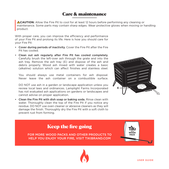## Care & maintenance

**ACAUTION:** Allow the Fire Pit to cool for at least 12 hours before performing any cleaning or maintenance. Some parts may contain sharp edges. Wear protective gloves when moving or handling product.

With proper care, you can improve the efficiency and performance of your Fire Pit and prolong its life. Here is how you should care for your Fire Pit:

- Cover during periods of inactivity. Cover the Fire Pit after the Fire Pit has cooled.
- Clean out ash regularly after Fire Pit has cooled completely. Carefully brush the left-over ash through the grate and into the ash tray. Remove the ash tray (E) and dispose of the ash and debris properly. Wood ash mixed with water creates a basic (alkaline) solution which can affect finishes and stainless steel.

You should always use metal containers for ash disposal. Never leave the ash container on a combustible surface.

DO NOT use ash in a garden or landscape application unless you review local laws and ordinances. Lamplight Farms Incorporated has not evaluated ash applications on gardens or landscapes and cannot advise on proper application.

• Clean the Fire Pit with dish soap or baking soda. Rinse clean with water. Thoroughly clean the top of the Fire Pit if you notice any residue. DO NOT use oven cleaner or abrasive cleaners as they will damage the finish. Thoroughly dry the Fire Pit with a soft cloth to prevent rust from forming.



# Keep the fire going

FOR MORE WOOD PACKS AND OTHER PRODUCTS TO HELP YOU ENJOY YOUR FIRE, VISIT TIKIBRAND.COM

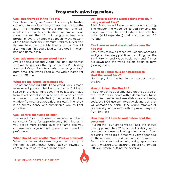### Frequently asked questions

#### Can I use firewood in the Fire Pit?

Yes. Never use "green" wood. For example, freshly cut wood from a live tree (cut less than six months ago). The moisture content is too high and will result in incomplete combustion and smoke. Logs should be less than 16 in. in length. At least one portion of every log should be touching the bottom of the flame basin for maximum stability. Never add flammable or combustible liquids to the Fire Pit after ignition. This could lead to flare ups in the ash pan and flame basin

#### Can I add more than one Wood Pack?

Avoid adding a second Wood Pack until the flames stop reaching above the top of the Fire Pit. Adding a second Wood Pack too early reduces your total burn time. The Wood Pack burns with a flame for approx. 30 min.

#### What are the Wood Packs made of?

The patent pending TIKI® Brand Wood Pack is made from wood pellets mixed with a starter fluid and sealed in the easy light bag. The pellets are made from sawdust that is sourced as a by-product from a number of manufacturing processes (lumber, window frames, hardwood flooring, etc.). The result is an energy dense and sustainable way to light your fire.

#### Can I control the flame height?

The Wood Pack is designed to maintain a full and consistent flame for approximately 30 minutes. If you desire more control over the flame size you can use wood logs and add more or less based on preference.

#### When should I add another Wood Pack or firewood?

When the flames stop reaching above the top of the Fire Pit, add another Wood Pack or firewood to continue burning with a brilliant flame.

#### Do I have to stir the wood pellets after lit, if using a Wood Pack?

TIKI® Brand Wood Packs do not require stirring. The deeper the wood pellet bed remains, the longer your burn time will extend. Use with fire poker (sold separately) that is at minimum 30 in. long.

#### Can I cook or roast marshmallows over the Fire Pit?

Yes , if you follow all other instructions, warnings, and good fire safety practices. If cooking over the TIKI® Fire Pit and Wood Pack, wait until flames die down and the wood pellets begin to form glowing coals.

#### Do I need lighter fluid or newspaper to start the Wood Pack?

No, simply light the bag in each corner to start the fire.

#### How do I clean the Fire Pit?

If soot or ash has accumulated on the outside of the Fire Pit, wipe down with a damp cloth. Rinse with clean water and use dish soap or baking soda. DO NOT use any abrasive cleaners as they will damage the finish. Once you've removed all residue, dry with a soft cloth to prevent any rust from forming.

#### How long do I have to wait before I put the cover on?

If using the TIKI® Brand Wood Pack, this should take approximately 12 hours and is designed to completely consume leaving minimal ash. If you are using wood logs, times will vary depending on the amount of wood used and consumed. Be sure to clean out all ash, taking appropriate safety measures, to ensure there are no embers left over before putting the cover on.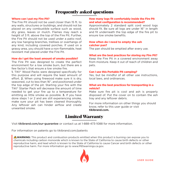## Frequently asked questions

#### Where can I put my Fire Pit?

The Fire Pit should not be used closer than 15 ft. to any walls, structures or buildings, and should not be placed on any combustible surface such as wood, dry grass, leaves or mulch. Flames may reach a height of 3 ft. above the top of the Fire Pit. Further, the Fire Pit should not be used under a patio roof, any low hanging branches, trellises or overhangs of any kind, including covered porches. If used on a grassy area, you should have a non-flammable, heat resistant mat placed under the Fire Pit.

#### How do I get the least amount of smoke possible?

The Fire Pit was designed to create the perfect environment for a low smoke burn, but there are a few factor's that ensure a low smoke fire.

1. TIKI® Wood Packs were designed specifically for this purpose and will require the least amount of effort. 2. When using firewood make sure it is dry, seasoned, cut to less than 16", and positioned under the top edge of the pit. Starting your fire with the TIKI® Starter Pack will decrease the amount of time needed to get your fire up to a temperature for emitting as little smoke as possible. **3.** If you have done steps 1 or 2 and are still experiencing smoke, make sure your pit has been cleaned thoroughly. Any leftover ash can hinder airflow and create unwanted smoke.

#### How many logs fit comfortably inside the Fire Pit and what configuration is recommended?

Approximately 2 standard split cord wood logs should fit. Be sure all logs are under 16" in length and fit underneath the top edge of the fire pit to ensure low smoke benefits.

#### How often do I need to empty the ash catcher pan?

The pan should be emptied after every use.

#### What are the best practices for storing my Fire Pit?

Keep the Fire Pit in a covered environment away from moisture. Keep it out of reach of children and pets.

#### Can I use this Portable Pit camping?

Yes, but be mindful of all other use instructions, local laws, and ordinances.

#### What are the best practices for transporting in a vehicle?

Make sure fire pit is cool and ash is properly disposed of. Put the cover on to contain the ash tray and any leftover debris.

For more information on other things you should know, refer to this user guide or visit **tikibrand.com.**

## Limited Warranty

Visit tikibrand.com/our-guarantee or contact us at 1-888-473-1088 for more information.

For information on patents go to tikibrand.com/patents

 **WARNING:** This product and combustion products emitted when this product is burning can expose you to chemicals including carbon monoxide which is known to the State of California to cause birth defects or other reproductive harm, and lead which is known to the State of California to cause Cancer and birth defects or other reproductive harm. For more information go to www.P65warnings.ca.gov.